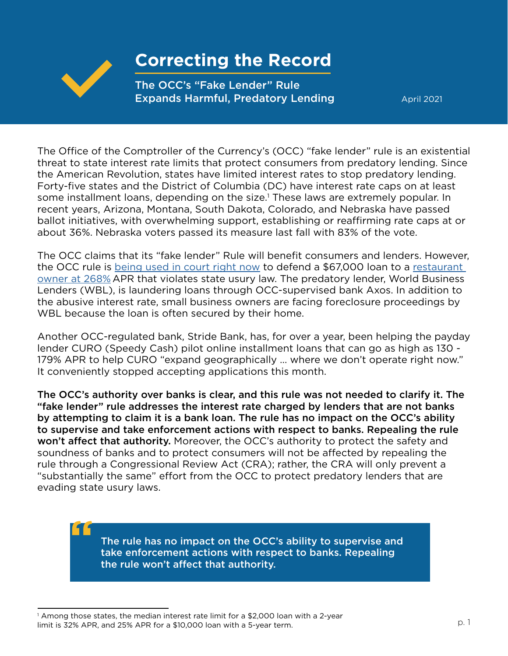

**"**

## **Correcting the Record**

The OCC's "Fake Lender" Rule Expands Harmful, Predatory Lending

April 2021

The Office of the Comptroller of the Currency's (OCC) "fake lender" rule is an existential threat to state interest rate limits that protect consumers from predatory lending. Since the American Revolution, states have limited interest rates to stop predatory lending. Forty-five states and the District of Columbia (DC) have interest rate caps on at least some installment loans, depending on the size.<sup>1</sup> These laws are extremely popular. In recent years, Arizona, Montana, South Dakota, Colorado, and Nebraska have passed ballot initiatives, with overwhelming support, establishing or reaffirming rate caps at or about 36%. Nebraska voters passed its measure last fall with 83% of the vote.

The OCC claims that its "fake lender" Rule will benefit consumers and lenders. However, the OCC rule is [being used in court right now](https://www.nclc.org/images/pfiles/litigation/AXIOS_Plaintiff_Reply_Brief.pdf) to defend a \$67,000 loan to a [restaurant](https://www.nbcnews.com/business/economy/new-trump-administration-rules-make-it-easier-lenders-charge-small-n1250023)  [owner at 268%](https://www.nbcnews.com/business/economy/new-trump-administration-rules-make-it-easier-lenders-charge-small-n1250023) APR that violates state usury law. The predatory lender, World Business Lenders (WBL), is laundering loans through OCC-supervised bank Axos. In addition to the abusive interest rate, small business owners are facing foreclosure proceedings by WBL because the loan is often secured by their home.

Another OCC-regulated bank, Stride Bank, has, for over a year, been helping the payday lender CURO (Speedy Cash) pilot online installment loans that can go as high as 130 - 179% APR to help CURO "expand geographically … where we don't operate right now." It conveniently stopped accepting applications this month.

The OCC's authority over banks is clear, and this rule was not needed to clarify it. The "fake lender" rule addresses the interest rate charged by lenders that are not banks by attempting to claim it is a bank loan. The rule has no impact on the OCC's ability to supervise and take enforcement actions with respect to banks. Repealing the rule won't affect that authority. Moreover, the OCC's authority to protect the safety and soundness of banks and to protect consumers will not be affected by repealing the rule through a Congressional Review Act (CRA); rather, the CRA will only prevent a "substantially the same" effort from the OCC to protect predatory lenders that are evading state usury laws.

> The rule has no impact on the OCC's ability to supervise and take enforcement actions with respect to banks. Repealing the rule won't affect that authority.

<sup>1</sup> Among those states, the median interest rate limit for a \$2,000 loan with a 2-year limit is 32% APR, and 25% APR for a \$10,000 loan with a 5-year term.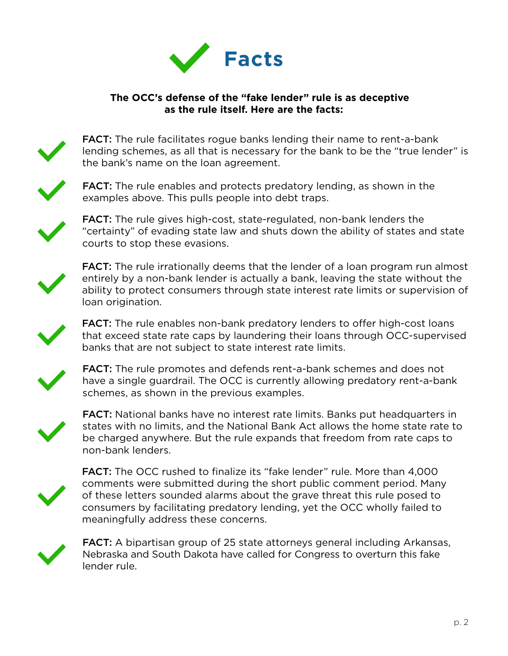

## **The OCC's defense of the "fake lender" rule is as deceptive as the rule itself. Here are the facts:**



FACT: The rule facilitates rogue banks lending their name to rent-a-bank lending schemes, as all that is necessary for the bank to be the "true lender" is the bank's name on the loan agreement.



FACT: The rule enables and protects predatory lending, as shown in the examples above. This pulls people into debt traps.



FACT: The rule gives high-cost, state-regulated, non-bank lenders the "certainty" of evading state law and shuts down the ability of states and state courts to stop these evasions.



**FACT:** The rule irrationally deems that the lender of a loan program run almost entirely by a non-bank lender is actually a bank, leaving the state without the ability to protect consumers through state interest rate limits or supervision of loan origination.



FACT: The rule enables non-bank predatory lenders to offer high-cost loans that exceed state rate caps by laundering their loans through OCC-supervised banks that are not subject to state interest rate limits.



FACT: The rule promotes and defends rent-a-bank schemes and does not have a single guardrail. The OCC is currently allowing predatory rent-a-bank schemes, as shown in the previous examples.



FACT: National banks have no interest rate limits. Banks put headquarters in states with no limits, and the National Bank Act allows the home state rate to be charged anywhere. But the rule expands that freedom from rate caps to non-bank lenders.



FACT: The OCC rushed to finalize its "fake lender" rule. More than 4,000 comments were submitted during the short public comment period. Many of these letters sounded alarms about the grave threat this rule posed to consumers by facilitating predatory lending, yet the OCC wholly failed to meaningfully address these concerns.



FACT: A bipartisan group of 25 state attorneys general including Arkansas, Nebraska and South Dakota have called for Congress to overturn this fake lender rule.